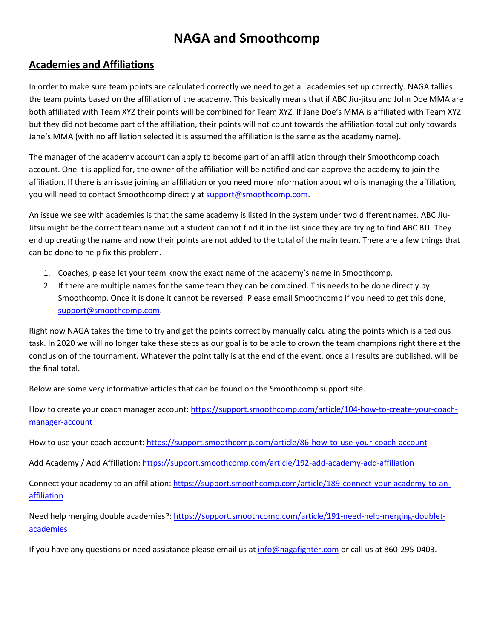## **NAGA and Smoothcomp**

## **Academies and Affiliations**

In order to make sure team points are calculated correctly we need to get all academies set up correctly. NAGA tallies the team points based on the affiliation of the academy. This basically means that if ABC Jiu-jitsu and John Doe MMA are both affiliated with Team XYZ their points will be combined for Team XYZ. If Jane Doe's MMA is affiliated with Team XYZ but they did not become part of the affiliation, their points will not count towards the affiliation total but only towards Jane's MMA (with no affiliation selected it is assumed the affiliation is the same as the academy name).

The manager of the academy account can apply to become part of an affiliation through their Smoothcomp coach account. One it is applied for, the owner of the affiliation will be notified and can approve the academy to join the affiliation. If there is an issue joining an affiliation or you need more information about who is managing the affiliation, you will need to contact Smoothcomp directly a[t support@smoothcomp.com.](mailto:support@smoothcomp.com)

An issue we see with academies is that the same academy is listed in the system under two different names. ABC Jiu-Jitsu might be the correct team name but a student cannot find it in the list since they are trying to find ABC BJJ. They end up creating the name and now their points are not added to the total of the main team. There are a few things that can be done to help fix this problem.

- 1. Coaches, please let your team know the exact name of the academy's name in Smoothcomp.
- 2. If there are multiple names for the same team they can be combined. This needs to be done directly by Smoothcomp. Once it is done it cannot be reversed. Please email Smoothcomp if you need to get this done, [support@smoothcomp.com.](mailto:support@smoothcomp.com)

Right now NAGA takes the time to try and get the points correct by manually calculating the points which is a tedious task. In 2020 we will no longer take these steps as our goal is to be able to crown the team champions right there at the conclusion of the tournament. Whatever the point tally is at the end of the event, once all results are published, will be the final total.

Below are some very informative articles that can be found on the Smoothcomp support site.

How to create your coach manager account[: https://support.smoothcomp.com/article/104-how-to-create-your-coach](https://support.smoothcomp.com/article/104-how-to-create-your-coach-manager-account)[manager-account](https://support.smoothcomp.com/article/104-how-to-create-your-coach-manager-account)

How to use your coach account[: https://support.smoothcomp.com/article/86-how-to-use-your-coach-account](https://support.smoothcomp.com/article/86-how-to-use-your-coach-account)

Add Academy / Add Affiliation[: https://support.smoothcomp.com/article/192-add-academy-add-affiliation](https://support.smoothcomp.com/article/192-add-academy-add-affiliation)

Connect your academy to an affiliation[: https://support.smoothcomp.com/article/189-connect-your-academy-to-an](https://support.smoothcomp.com/article/189-connect-your-academy-to-an-affiliation)[affiliation](https://support.smoothcomp.com/article/189-connect-your-academy-to-an-affiliation)

Need help merging double academies?: [https://support.smoothcomp.com/article/191-need-help-merging-doublet](https://support.smoothcomp.com/article/191-need-help-merging-doublet-academies)[academies](https://support.smoothcomp.com/article/191-need-help-merging-doublet-academies)

If you have any questions or need assistance please email us a[t info@nagafighter.com](mailto:info@nagafighter.com) or call us at 860-295-0403.